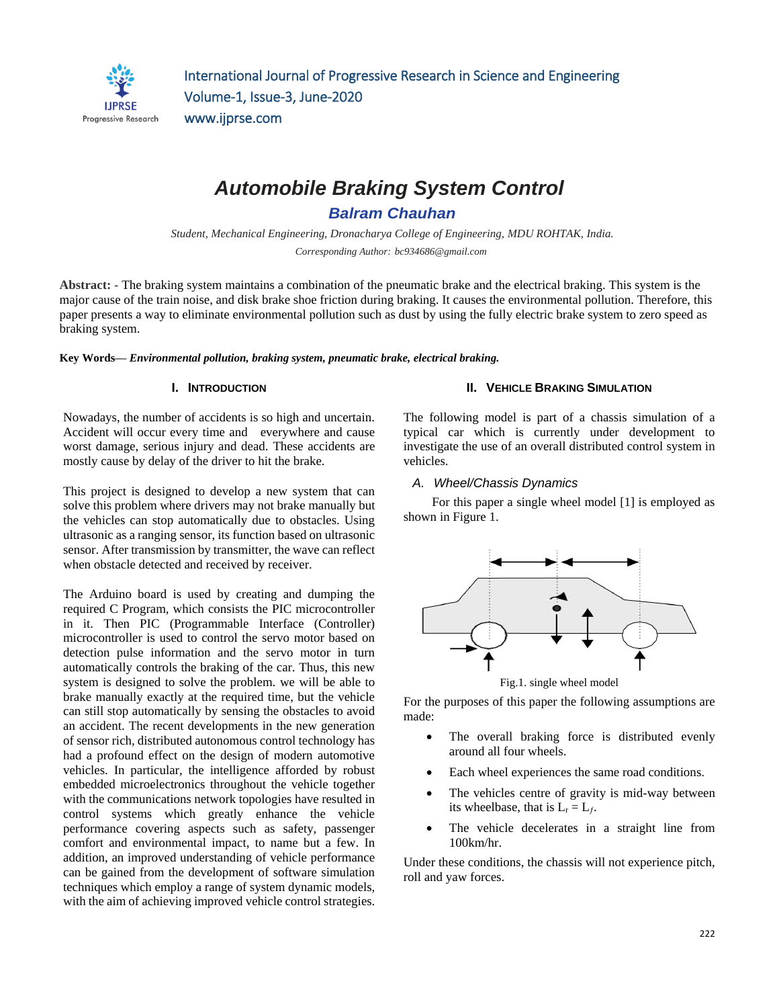

# *Automobile Braking System Control*

*Balram Chauhan*

*Student, Mechanical Engineering, Dronacharya College of Engineering, MDU ROHTAK, India. Corresponding Author: bc934686@gmail.com*

**Abstract: -** The braking system maintains a combination of the pneumatic brake and the electrical braking. This system is the major cause of the train noise, and disk brake shoe friction during braking. It causes the environmental pollution. Therefore, this paper presents a way to eliminate environmental pollution such as dust by using the fully electric brake system to zero speed as braking system.

**Key Words—** *Environmental pollution, braking system, pneumatic brake, electrical braking.*

#### **I. INTRODUCTION**

Nowadays, the number of accidents is so high and uncertain. Accident will occur every time and everywhere and cause worst damage, serious injury and dead. These accidents are mostly cause by delay of the driver to hit the brake.

This project is designed to develop a new system that can solve this problem where drivers may not brake manually but the vehicles can stop automatically due to obstacles. Using ultrasonic as a ranging sensor, its function based on ultrasonic sensor. After transmission by transmitter, the wave can reflect when obstacle detected and received by receiver.

The Arduino board is used by creating and dumping the required C Program, which consists the PIC microcontroller in it. Then PIC (Programmable Interface (Controller) microcontroller is used to control the servo motor based on detection pulse information and the servo motor in turn automatically controls the braking of the car. Thus, this new system is designed to solve the problem. we will be able to brake manually exactly at the required time, but the vehicle can still stop automatically by sensing the obstacles to avoid an accident. The recent developments in the new generation of sensor rich, distributed autonomous control technology has had a profound effect on the design of modern automotive vehicles. In particular, the intelligence afforded by robust embedded microelectronics throughout the vehicle together with the communications network topologies have resulted in control systems which greatly enhance the vehicle performance covering aspects such as safety, passenger comfort and environmental impact, to name but a few. In addition, an improved understanding of vehicle performance can be gained from the development of software simulation techniques which employ a range of system dynamic models, with the aim of achieving improved vehicle control strategies.

#### **II. VEHICLE BRAKING SIMULATION**

The following model is part of a chassis simulation of a typical car which is currently under development to investigate the use of an overall distributed control system in vehicles.

#### *A. Wheel/Chassis Dynamics*

 For this paper a single wheel model [1] is employed as shown in Figure 1.



Fig.1. single wheel model

For the purposes of this paper the following assumptions are made:

- The overall braking force is distributed evenly around all four wheels.
- Each wheel experiences the same road conditions.
- The vehicles centre of gravity is mid-way between its wheelbase, that is  $L_r = L_f$ .
- The vehicle decelerates in a straight line from 100km/hr.

Under these conditions, the chassis will not experience pitch, roll and yaw forces.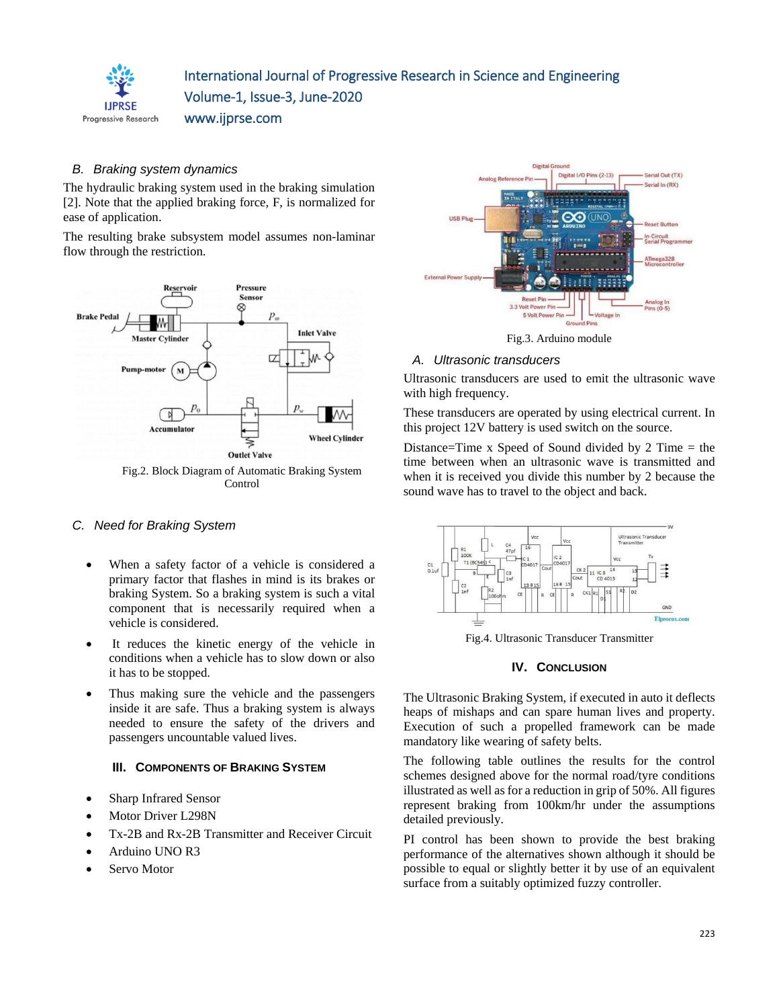

## *B. Braking system dynamics*

The hydraulic braking system used in the braking simulation [2]. Note that the applied braking force, F, is normalized for ease of application.

The resulting brake subsystem model assumes non-laminar flow through the restriction.



Fig.2. Block Diagram of Automatic Braking System Control

## *C. Need for Braking System*

- When a safety factor of a vehicle is considered a primary factor that flashes in mind is its brakes or braking System. So a braking system is such a vital component that is necessarily required when a vehicle is considered.
- It reduces the kinetic energy of the vehicle in conditions when a vehicle has to slow down or also it has to be stopped.
- Thus making sure the vehicle and the passengers inside it are safe. Thus a braking system is always needed to ensure the safety of the drivers and passengers uncountable valued lives.

## **III. COMPONENTS OF BRAKING SYSTEM**

- Sharp Infrared Sensor
- Motor Driver L298N
- Tx-2B and Rx-2B Transmitter and Receiver Circuit
- Arduino UNO R3
- Servo Motor



Fig.3. Arduino module

## *A. Ultrasonic transducers*

Ultrasonic transducers are used to emit the ultrasonic wave with high frequency.

These transducers are operated by using electrical current. In this project 12V battery is used switch on the source.

Distance=Time x Speed of Sound divided by 2 Time  $=$  the time between when an ultrasonic wave is transmitted and when it is received you divide this number by 2 because the sound wave has to travel to the object and back.



Fig.4. Ultrasonic Transducer Transmitter

## **IV. CONCLUSION**

The Ultrasonic Braking System, if executed in auto it deflects heaps of mishaps and can spare human lives and property. Execution of such a propelled framework can be made mandatory like wearing of safety belts.

The following table outlines the results for the control schemes designed above for the normal road/tyre conditions illustrated as well as for a reduction in grip of 50%. All figures represent braking from 100km/hr under the assumptions detailed previously.

PI control has been shown to provide the best braking performance of the alternatives shown although it should be possible to equal or slightly better it by use of an equivalent surface from a suitably optimized fuzzy controller.